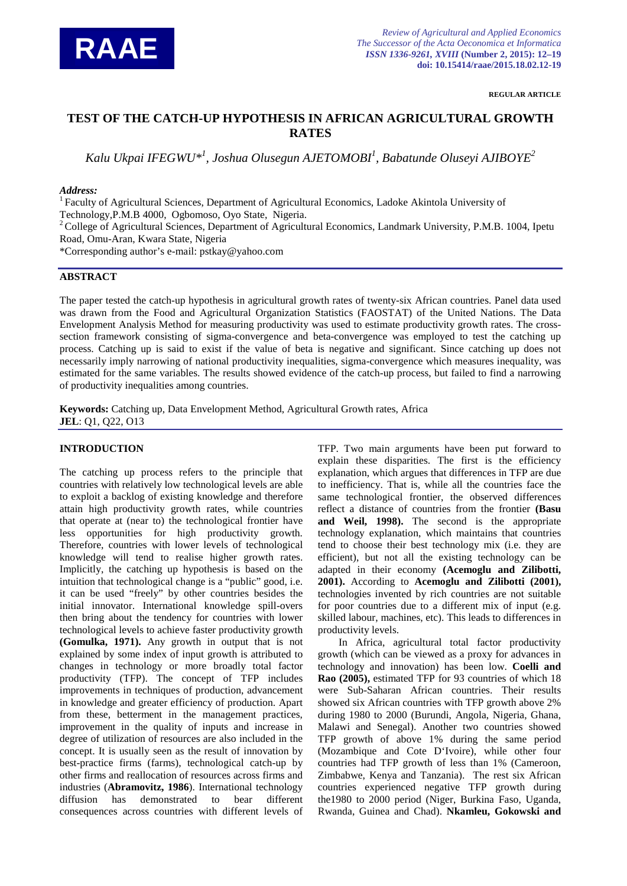

**REGULAR ARTICLE**

# **TEST OF THE CATCH-UP HYPOTHESIS IN AFRICAN AGRICULTURAL GROWTH RATES**

*Kalu Ukpai IFEGWU\*1 , Joshua Olusegun AJETOMOBI1 , Babatunde Oluseyi AJIBOYE2*

## *Address:*

<sup>1</sup> Faculty of Agricultural Sciences, Department of Agricultural Economics, Ladoke Akintola University of Technology,P.M.B 4000, Ogbomoso, Oyo State, Nigeria.

<sup>2</sup> College of Agricultural Sciences, Department of Agricultural Economics, Landmark University, P.M.B. 1004, Ipetu Road, Omu-Aran, Kwara State, Nigeria

\*Corresponding author's e-mail: pstkay@yahoo.com

# **ABSTRACT**

The paper tested the catch-up hypothesis in agricultural growth rates of twenty-six African countries. Panel data used was drawn from the Food and Agricultural Organization Statistics (FAOSTAT) of the United Nations. The Data Envelopment Analysis Method for measuring productivity was used to estimate productivity growth rates. The crosssection framework consisting of sigma-convergence and beta-convergence was employed to test the catching up process. Catching up is said to exist if the value of beta is negative and significant. Since catching up does not necessarily imply narrowing of national productivity inequalities, sigma-convergence which measures inequality, was estimated for the same variables. The results showed evidence of the catch-up process, but failed to find a narrowing of productivity inequalities among countries.

**Keywords:** Catching up, Data Envelopment Method, Agricultural Growth rates, Africa **JEL**: Q1, Q22, O13

## **INTRODUCTION**

The catching up process refers to the principle that countries with relatively low technological levels are able to exploit a backlog of existing knowledge and therefore attain high productivity growth rates, while countries that operate at (near to) the technological frontier have less opportunities for high productivity growth. Therefore, countries with lower levels of technological knowledge will tend to realise higher growth rates. Implicitly, the catching up hypothesis is based on the intuition that technological change is a "public" good, i.e. it can be used "freely" by other countries besides the initial innovator. International knowledge spill-overs then bring about the tendency for countries with lower technological levels to achieve faster productivity growth **(Gomulka, 1971).** Any growth in output that is not explained by some index of input growth is attributed to changes in technology or more broadly total factor productivity (TFP). The concept of TFP includes improvements in techniques of production, advancement in knowledge and greater efficiency of production. Apart from these, betterment in the management practices, improvement in the quality of inputs and increase in degree of utilization of resources are also included in the concept. It is usually seen as the result of innovation by best-practice firms (farms), technological catch-up by other firms and reallocation of resources across firms and industries (**Abramovitz, 1986**). International technology diffusion has demonstrated to bear different consequences across countries with different levels of

TFP. Two main arguments have been put forward to explain these disparities. The first is the efficiency explanation, which argues that differences in TFP are due to inefficiency. That is, while all the countries face the same technological frontier, the observed differences reflect a distance of countries from the frontier **(Basu and Weil, 1998).** The second is the appropriate technology explanation, which maintains that countries tend to choose their best technology mix (i.e. they are efficient), but not all the existing technology can be adapted in their economy **(Acemoglu and Zilibotti, 2001).** According to **Acemoglu and Zilibotti (2001),** technologies invented by rich countries are not suitable for poor countries due to a different mix of input (e.g. skilled labour, machines, etc). This leads to differences in productivity levels.

In Africa, agricultural total factor productivity growth (which can be viewed as a proxy for advances in technology and innovation) has been low. **Coelli and Rao (2005),** estimated TFP for 93 countries of which 18 were Sub-Saharan African countries. Their results showed six African countries with TFP growth above 2% during 1980 to 2000 (Burundi, Angola, Nigeria, Ghana, Malawi and Senegal). Another two countries showed TFP growth of above 1% during the same period (Mozambique and Cote D'Ivoire), while other four countries had TFP growth of less than 1% (Cameroon, Zimbabwe, Kenya and Tanzania). The rest six African countries experienced negative TFP growth during the1980 to 2000 period (Niger, Burkina Faso, Uganda, Rwanda, Guinea and Chad). **Nkamleu, Gokowski and**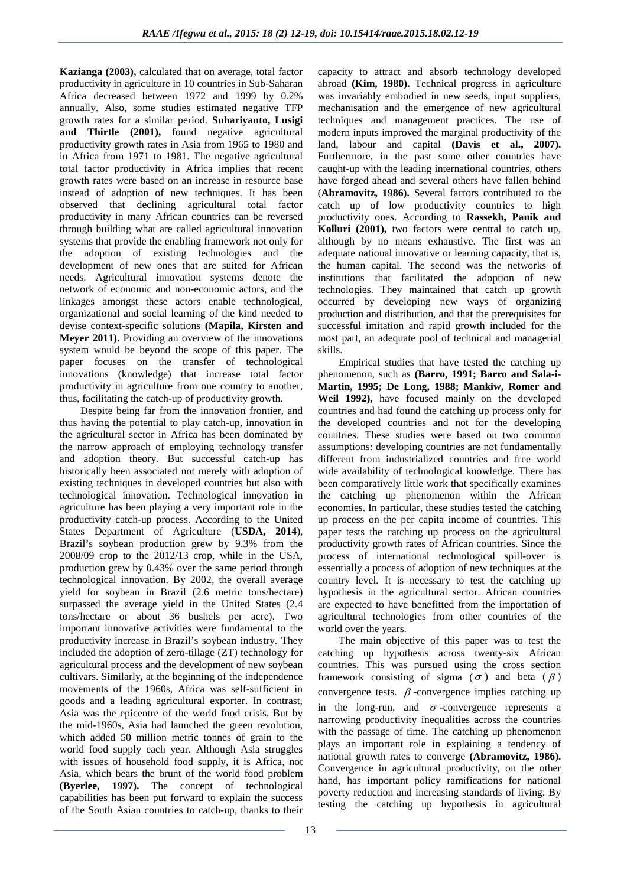**Kazianga (2003),** calculated that on average, total factor productivity in agriculture in 10 countries in Sub-Saharan Africa decreased between 1972 and 1999 by 0.2% annually. Also, some studies estimated negative TFP growth rates for a similar period. **Suhariyanto, Lusigi**  and Thirtle (2001), found negative agricultural productivity growth rates in Asia from 1965 to 1980 and in Africa from 1971 to 1981. The negative agricultural total factor productivity in Africa implies that recent growth rates were based on an increase in resource base instead of adoption of new techniques. It has been observed that declining agricultural total factor productivity in many African countries can be reversed through building what are called agricultural innovation systems that provide the enabling framework not only for the adoption of existing technologies and the development of new ones that are suited for African needs. Agricultural innovation systems denote the network of economic and non-economic actors, and the linkages amongst these actors enable technological, organizational and social learning of the kind needed to devise context-specific solutions **(Mapila, Kirsten and Meyer 2011).** Providing an overview of the innovations system would be beyond the scope of this paper. The paper focuses on the transfer of technological innovations (knowledge) that increase total factor productivity in agriculture from one country to another, thus, facilitating the catch-up of productivity growth.

Despite being far from the innovation frontier, and thus having the potential to play catch-up, innovation in the agricultural sector in Africa has been dominated by the narrow approach of employing technology transfer and adoption theory. But successful catch-up has historically been associated not merely with adoption of existing techniques in developed countries but also with technological innovation. Technological innovation in agriculture has been playing a very important role in the productivity catch-up process. According to the United States Department of Agriculture (**USDA, 2014**), Brazil's soybean production grew by 9.3% from the 2008/09 crop to the 2012/13 crop, while in the USA, production grew by 0.43% over the same period through technological innovation. By 2002, the overall average yield for soybean in Brazil (2.6 metric tons/hectare) surpassed the average yield in the United States (2.4 tons/hectare or about 36 bushels per acre). Two important innovative activities were fundamental to the productivity increase in Brazil's soybean industry. They included the adoption of zero-tillage (ZT) technology for agricultural process and the development of new soybean cultivars. Similarly**,** at the beginning of the independence movements of the 1960s, Africa was self-sufficient in goods and a leading agricultural exporter. In contrast, Asia was the epicentre of the world food crisis. But by the mid-1960s, Asia had launched the green revolution, which added 50 million metric tonnes of grain to the world food supply each year. Although Asia struggles with issues of household food supply, it is Africa, not Asia, which bears the brunt of the world food problem **(Byerlee, 1997).** The concept of technological capabilities has been put forward to explain the success of the South Asian countries to catch-up, thanks to their

capacity to attract and absorb technology developed abroad **(Kim, 1980).** Technical progress in agriculture was invariably embodied in new seeds, input suppliers, mechanisation and the emergence of new agricultural techniques and management practices. The use of modern inputs improved the marginal productivity of the land, labour and capital **(Davis et al., 2007).** Furthermore, in the past some other countries have caught-up with the leading international countries, others have forged ahead and several others have fallen behind (**Abramovitz, 1986).** Several factors contributed to the catch up of low productivity countries to high productivity ones. According to **Rassekh, Panik and Kolluri (2001),** two factors were central to catch up, although by no means exhaustive. The first was an adequate national innovative or learning capacity, that is, the human capital. The second was the networks of institutions that facilitated the adoption of new technologies. They maintained that catch up growth occurred by developing new ways of organizing production and distribution, and that the prerequisites for successful imitation and rapid growth included for the most part, an adequate pool of technical and managerial skills.

Empirical studies that have tested the catching up phenomenon, such as **(Barro, 1991; Barro and Sala-i-Martin, 1995; De Long, 1988; Mankiw, Romer and Weil 1992),** have focused mainly on the developed countries and had found the catching up process only for the developed countries and not for the developing countries. These studies were based on two common assumptions: developing countries are not fundamentally different from industrialized countries and free world wide availability of technological knowledge. There has been comparatively little work that specifically examines the catching up phenomenon within the African economies. In particular, these studies tested the catching up process on the per capita income of countries. This paper tests the catching up process on the agricultural productivity growth rates of African countries. Since the process of international technological spill-over is essentially a process of adoption of new techniques at the country level. It is necessary to test the catching up hypothesis in the agricultural sector. African countries are expected to have benefitted from the importation of agricultural technologies from other countries of the world over the years.

The main objective of this paper was to test the catching up hypothesis across twenty-six African countries. This was pursued using the cross section framework consisting of sigma ( $\sigma$ ) and beta ( $\beta$ ) convergence tests.  $\beta$ -convergence implies catching up in the long-run, and  $\sigma$ -convergence represents a narrowing productivity inequalities across the countries with the passage of time. The catching up phenomenon plays an important role in explaining a tendency of national growth rates to converge **(Abramovitz, 1986).** Convergence in agricultural productivity, on the other hand, has important policy ramifications for national poverty reduction and increasing standards of living. By testing the catching up hypothesis in agricultural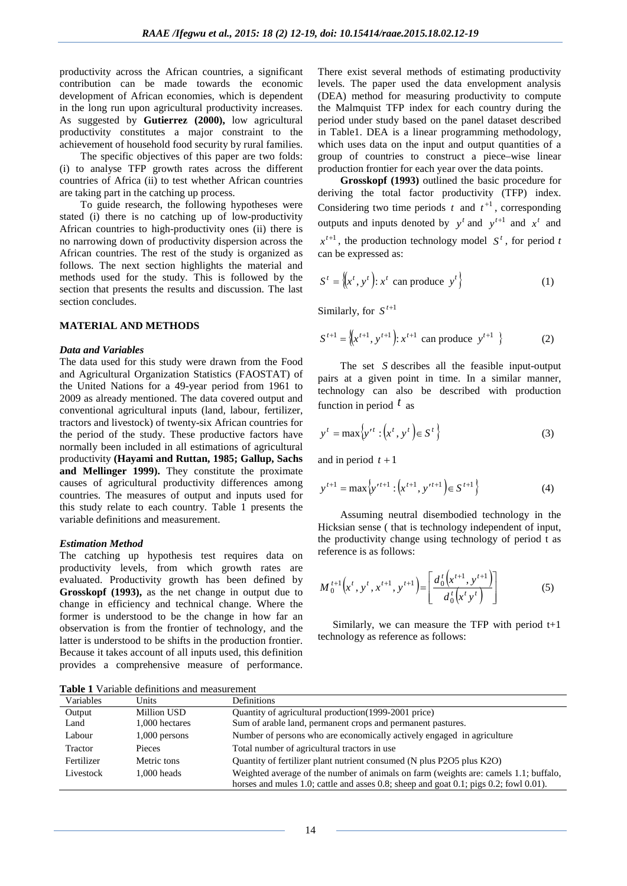productivity across the African countries, a significant contribution can be made towards the economic development of African economies, which is dependent in the long run upon agricultural productivity increases. As suggested by **Gutierrez (2000),** low agricultural productivity constitutes a major constraint to the achievement of household food security by rural families.

The specific objectives of this paper are two folds: (i) to analyse TFP growth rates across the different countries of Africa (ii) to test whether African countries are taking part in the catching up process.

To guide research, the following hypotheses were stated (i) there is no catching up of low-productivity African countries to high-productivity ones (ii) there is no narrowing down of productivity dispersion across the African countries. The rest of the study is organized as follows. The next section highlights the material and methods used for the study. This is followed by the section that presents the results and discussion. The last section concludes.

#### **MATERIAL AND METHODS**

#### *Data and Variables*

The data used for this study were drawn from the Food and Agricultural Organization Statistics (FAOSTAT) of the United Nations for a 49-year period from 1961 to 2009 as already mentioned. The data covered output and conventional agricultural inputs (land, labour, fertilizer, tractors and livestock) of twenty-six African countries for the period of the study. These productive factors have normally been included in all estimations of agricultural productivity **(Hayami and Ruttan, 1985; Gallup, Sachs and Mellinger 1999).** They constitute the proximate causes of agricultural productivity differences among countries. The measures of output and inputs used for this study relate to each country. Table 1 presents the variable definitions and measurement.

#### *Estimation Method*

The catching up hypothesis test requires data on productivity levels, from which growth rates are evaluated. Productivity growth has been defined by **Grosskopf (1993),** as the net change in output due to change in efficiency and technical change. Where the former is understood to be the change in how far an observation is from the frontier of technology, and the latter is understood to be shifts in the production frontier. Because it takes account of all inputs used, this definition provides a comprehensive measure of performance.

There exist several methods of estimating productivity levels. The paper used the data envelopment analysis (DEA) method for measuring productivity to compute the Malmquist TFP index for each country during the period under study based on the panel dataset described in Table1. DEA is a linear programming methodology, which uses data on the input and output quantities of a group of countries to construct a piece–wise linear production frontier for each year over the data points.

**Grosskopf (1993)** outlined the basic procedure for deriving the total factor productivity (TFP) index. Considering two time periods  $t$  and  $t^{+1}$ , corresponding outputs and inputs denoted by  $y^{t}$  and  $y^{t+1}$  and  $x^{t}$  and  $x^{t+1}$ , the production technology model  $S^t$ , for period *t* can be expressed as:

$$
S^{t} = \left\{ (x^{t}, y^{t}) : x^{t} \text{ can produce } y^{t} \right\}
$$
 (1)

Similarly, for  $S^{t+1}$ 

$$
S^{t+1} = \left\{ x^{t+1}, y^{t+1} \right\} : x^{t+1} \text{ can produce } y^{t+1} \}
$$
 (2)

The set *S* describes all the feasible input-output pairs at a given point in time. In a similar manner, technology can also be described with production function in period *t* as

$$
y^{t} = \max \left\{ y^{t t} : \left( x^{t}, y^{t} \right) \in S^{t} \right\}
$$
 (3)

and in period  $t + 1$ 

$$
y^{t+1} = \max \left\{ y^{t+1} : \left( x^{t+1}, y^{t+1} \right) \in S^{t+1} \right\} \tag{4}
$$

Assuming neutral disembodied technology in the Hicksian sense ( that is technology independent of input, the productivity change using technology of period t as reference is as follows:

$$
M_0^{t+1}\left(x^t, y^t, x^{t+1}, y^{t+1}\right) = \left[\frac{d_0^t\left(x^{t+1}, y^{t+1}\right)}{d_0^t\left(x^t y^t\right)}\right] \tag{5}
$$

Similarly, we can measure the TFP with period t+1 technology as reference as follows:

**Table 1** Variable definitions and measurement

| Variables  | Units          | Definitions                                                                           |
|------------|----------------|---------------------------------------------------------------------------------------|
| Output     | Million USD    | Quantity of agricultural production (1999-2001 price)                                 |
| Land       | 1,000 hectares | Sum of arable land, permanent crops and permanent pastures.                           |
| Labour     | 1,000 persons  | Number of persons who are economically actively engaged in agriculture                |
| Tractor    | Pieces         | Total number of agricultural tractors in use                                          |
| Fertilizer | Metric tons    | Quantity of fertilizer plant nutrient consumed (N plus P2O5 plus K2O)                 |
| Livestock  | 1.000 heads    | Weighted average of the number of animals on farm (weights are: camels 1.1; buffalo,  |
|            |                | horses and mules 1.0; cattle and asses 0.8; sheep and goat 0.1; pigs 0.2; fowl 0.01). |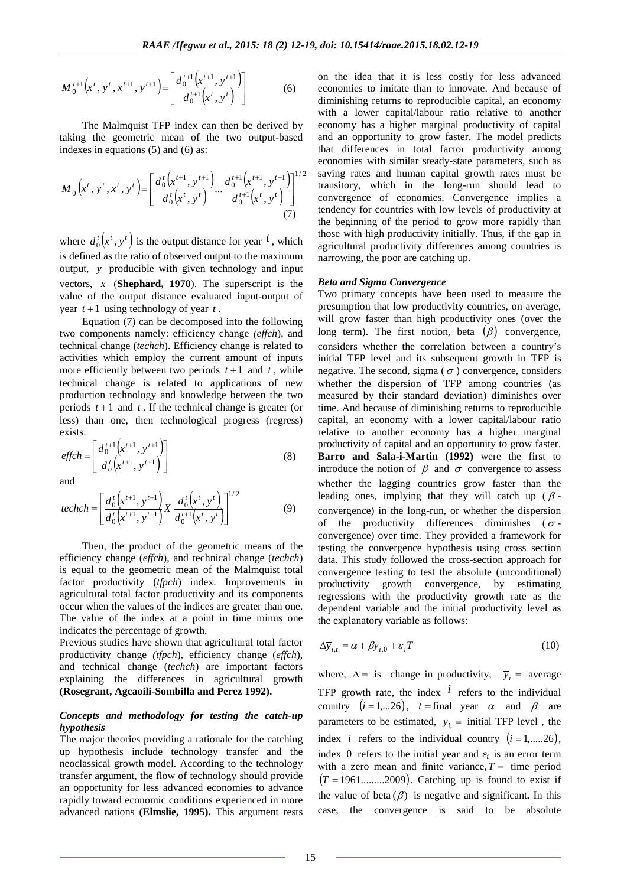$$
M_0^{t+1}\left(x^t, y^t, x^{t+1}, y^{t+1}\right) = \left[\frac{d_0^{t+1}\left(x^{t+1}, y^{t+1}\right)}{d_0^{t+1}\left(x^t, y^t\right)}\right] \tag{6}
$$

The Malmquist TFP index can then be derived by taking the geometric mean of the two output-based indexes in equations (5) and (6) as:

$$
M_0(x^t, y^t, x^t, y^t) = \left[ \frac{d_0^t(x^{t+1}, y^{t+1})}{d_0^t(x^t, y^t)} \dots \frac{d_0^{t+1}(x^{t+1}, y^{t+1})}{d_0^{t+1}(x^t, y^t)} \right]^{1/2}
$$
\n(7)

where  $d_0^t(x^t, y^t)$  is the output distance for year  $t$ , which is defined as the ratio of observed output to the maximum output, *y* producible with given technology and input vectors, *x* (**Shephard, 1970**). The superscript is the value of the output distance evaluated input-output of year  $t+1$  using technology of year  $t$ .

Equation (7) can be decomposed into the following two components namely: efficiency change *(effch*), and technical change (*techch*). Efficiency change is related to activities which employ the current amount of inputs more efficiently between two periods  $t+1$  and  $t$ , while technical change is related to applications of new production technology and knowledge between the two periods  $t+1$  and  $t$ . If the technical change is greater (or less) than one, then technological progress (regress) exists.

$$
effch = \left[ \frac{d_0^{t+1} \left( x^{t+1}, y^{t+1} \right)}{d_0^t \left( x^{t+1}, y^{t+1} \right)} \right] \tag{8}
$$

and

$$
techch = \left[\frac{d_0^t(x^{t+1}, y^{t+1})}{d_0^t(x^{t+1}, y^{t+1})} X \frac{d_0^t(x^t, y^t)}{d_0^{t+1}(x^t, y^t)}\right]^{1/2}
$$
(9)

Then, the product of the geometric means of the efficiency change (*effch*), and technical change (*techch*) is equal to the geometric mean of the Malmquist total factor productivity (*tfpch*) index. Improvements in agricultural total factor productivity and its components occur when the values of the indices are greater than one. The value of the index at a point in time minus one indicates the percentage of growth.

Previous studies have shown that agricultural total factor productivity change *(tfpch*), efficiency change (*effch*), and technical change (*techch*) are important factors explaining the differences in agricultural growth **(Rosegrant, Agcaoili-Sombilla and Perez 1992).** 

### *Concepts and methodology for testing the catch-up hypothesis*

The major theories providing a rationale for the catching up hypothesis include technology transfer and the neoclassical growth model. According to the technology transfer argument, the flow of technology should provide an opportunity for less advanced economies to advance rapidly toward economic conditions experienced in more advanced nations **(Elmslie, 1995).** This argument rests

on the idea that it is less costly for less advanced economies to imitate than to innovate. And because of diminishing returns to reproducible capital, an economy with a lower capital/labour ratio relative to another economy has a higher marginal productivity of capital and an opportunity to grow faster. The model predicts that differences in total factor productivity among economies with similar steady-state parameters, such as saving rates and human capital growth rates must be transitory, which in the long-run should lead to convergence of economies. Convergence implies a tendency for countries with low levels of productivity at the beginning of the period to grow more rapidly than those with high productivity initially. Thus, if the gap in agricultural productivity differences among countries is narrowing, the poor are catching up.

#### *Beta and Sigma Convergence*

Two primary concepts have been used to measure the presumption that low productivity countries, on average, will grow faster than high productivity ones (over the long term). The first notion, beta  $(\beta)$  convergence, considers whether the correlation between a country's initial TFP level and its subsequent growth in TFP is negative. The second, sigma ( $\sigma$ ) convergence, considers whether the dispersion of TFP among countries (as measured by their standard deviation) diminishes over time. And because of diminishing returns to reproducible capital, an economy with a lower capital/labour ratio relative to another economy has a higher marginal productivity of capital and an opportunity to grow faster. **Barro and Sala-i-Martin (1992)** were the first to introduce the notion of  $\beta$  and  $\sigma$  convergence to assess whether the lagging countries grow faster than the leading ones, implying that they will catch up  $(\beta$ convergence) in the long-run, or whether the dispersion of the productivity differences diminishes ( $\sigma$ convergence) over time. They provided a framework for testing the convergence hypothesis using cross section data. This study followed the cross-section approach for convergence testing to test the absolute (unconditional) productivity growth convergence, by estimating regressions with the productivity growth rate as the dependent variable and the initial productivity level as the explanatory variable as follows:

$$
\Delta \bar{y}_{i,t} = \alpha + \beta y_{i,0} + \varepsilon_i T \tag{10}
$$

where,  $\Delta = i s$  change in productivity,  $\bar{y}_i =$  average TFP growth rate, the index  $\vec{i}$  refers to the individual country  $(i=1,...26)$ ,  $t=$  final year  $\alpha$  and  $\beta$  are parameters to be estimated,  $y_i$  = initial TFP level, the index *i* refers to the individual country  $(i = 1, \ldots, 26)$ , index 0 refers to the initial year and  $\varepsilon_i$  is an error term with a zero mean and finite variance,  $T =$  time period  $(T = 1961$ ..........2009). Catching up is found to exist if the value of beta  $(\beta)$  is negative and significant. In this case, the convergence is said to be absolute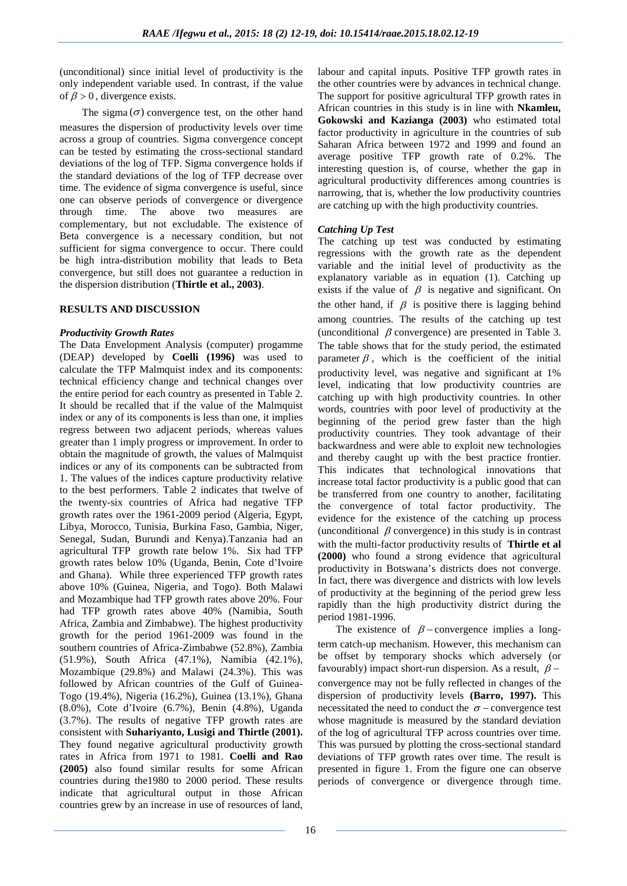(unconditional) since initial level of productivity is the only independent variable used. In contrast, if the value of  $\beta > 0$ , divergence exists.

The sigma  $(\sigma)$  convergence test, on the other hand measures the dispersion of productivity levels over time across a group of countries. Sigma convergence concept can be tested by estimating the cross-sectional standard deviations of the log of TFP. Sigma convergence holds if the standard deviations of the log of TFP decrease over time. The evidence of sigma convergence is useful, since one can observe periods of convergence or divergence through time. The above two measures are complementary, but not excludable. The existence of Beta convergence is a necessary condition, but not sufficient for sigma convergence to occur. There could be high intra-distribution mobility that leads to Beta convergence, but still does not guarantee a reduction in the dispersion distribution (**Thirtle et al., 2003)**.

## **RESULTS AND DISCUSSION**

## *Productivity Growth Rates*

The Data Envelopment Analysis (computer) progamme (DEAP) developed by **Coelli (1996)** was used to calculate the TFP Malmquist index and its components: technical efficiency change and technical changes over the entire period for each country as presented in Table 2. It should be recalled that if the value of the Malmquist index or any of its components is less than one, it implies regress between two adjacent periods, whereas values greater than 1 imply progress or improvement. In order to obtain the magnitude of growth, the values of Malmquist indices or any of its components can be subtracted from 1. The values of the indices capture productivity relative to the best performers. Table 2 indicates that twelve of the twenty-six countries of Africa had negative TFP growth rates over the 1961-2009 period (Algeria, Egypt, Libya, Morocco, Tunisia, Burkina Faso, Gambia, Niger, Senegal, Sudan, Burundi and Kenya).Tanzania had an agricultural TFP growth rate below 1%. Six had TFP growth rates below 10% (Uganda, Benin, Cote d'Ivoire and Ghana). While three experienced TFP growth rates above 10% (Guinea, Nigeria, and Togo). Both Malawi and Mozambique had TFP growth rates above 20%. Four had TFP growth rates above 40% (Namibia, South Africa, Zambia and Zimbabwe). The highest productivity growth for the period 1961-2009 was found in the southern countries of Africa-Zimbabwe (52.8%), Zambia (51.9%), South Africa (47.1%), Namibia (42.1%), Mozambique (29.8%) and Malawi (24.3%). This was followed by African countries of the Gulf of Guinea-Togo (19.4%), Nigeria (16.2%), Guinea (13.1%), Ghana (8.0%), Cote d'Ivoire (6.7%), Benin (4.8%), Uganda (3.7%). The results of negative TFP growth rates are consistent with **Suhariyanto, Lusigi and Thirtle (2001).** They found negative agricultural productivity growth rates in Africa from 1971 to 1981. **Coelli and Rao (2005)** also found similar results for some African countries during the1980 to 2000 period. These results indicate that agricultural output in those African countries grew by an increase in use of resources of land,

labour and capital inputs. Positive TFP growth rates in the other countries were by advances in technical change. The support for positive agricultural TFP growth rates in African countries in this study is in line with **Nkamleu, Gokowski and Kazianga (2003)** who estimated total factor productivity in agriculture in the countries of sub Saharan Africa between 1972 and 1999 and found an average positive TFP growth rate of 0.2%. The interesting question is, of course, whether the gap in agricultural productivity differences among countries is narrowing, that is, whether the low productivity countries are catching up with the high productivity countries.

# *Catching Up Test*

The catching up test was conducted by estimating regressions with the growth rate as the dependent variable and the initial level of productivity as the explanatory variable as in equation (1). Catching up exists if the value of  $\beta$  is negative and significant. On the other hand, if  $\beta$  is positive there is lagging behind among countries. The results of the catching up test (unconditional  $\beta$  convergence) are presented in Table 3. The table shows that for the study period, the estimated parameter  $\beta$ , which is the coefficient of the initial productivity level, was negative and significant at 1% level, indicating that low productivity countries are catching up with high productivity countries. In other words, countries with poor level of productivity at the beginning of the period grew faster than the high productivity countries. They took advantage of their backwardness and were able to exploit new technologies and thereby caught up with the best practice frontier. This indicates that technological innovations that increase total factor productivity is a public good that can be transferred from one country to another, facilitating the convergence of total factor productivity. The evidence for the existence of the catching up process (unconditional  $\beta$  convergence) in this study is in contrast with the multi-factor productivity results of **Thirtle et al (2000)** who found a strong evidence that agricultural productivity in Botswana's districts does not converge. In fact, there was divergence and districts with low levels of productivity at the beginning of the period grew less rapidly than the high productivity district during the period 1981-1996.

The existence of  $\beta$  – convergence implies a longterm catch-up mechanism. However, this mechanism can be offset by temporary shocks which adversely (or favourably) impact short-run dispersion. As a result,  $\beta$  – convergence may not be fully reflected in changes of the dispersion of productivity levels **(Barro, 1997).** This necessitated the need to conduct the  $\sigma$  – convergence test whose magnitude is measured by the standard deviation of the log of agricultural TFP across countries over time. This was pursued by plotting the cross-sectional standard deviations of TFP growth rates over time. The result is presented in figure 1. From the figure one can observe periods of convergence or divergence through time.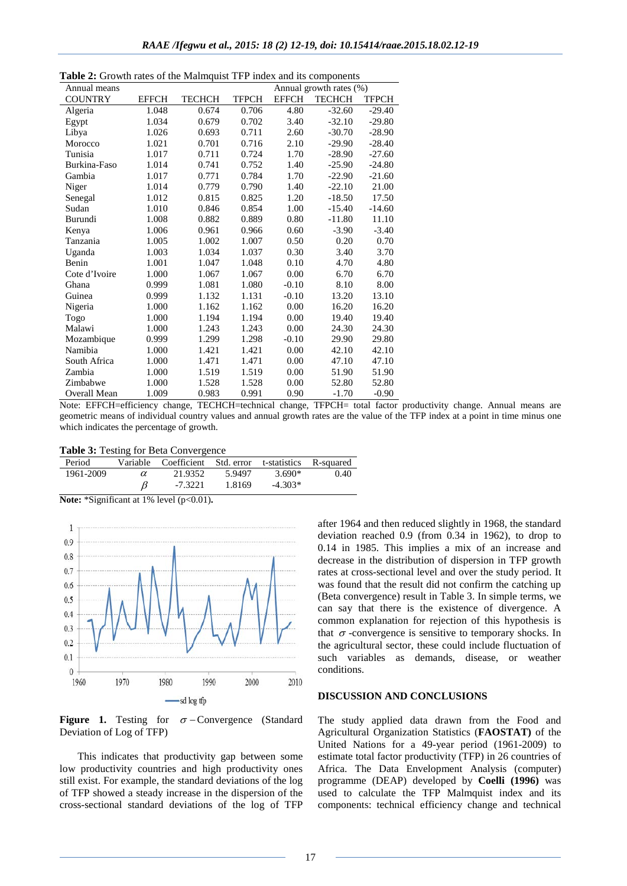| Annual means   |              | • STOWIN THRES OF the Maninguist TTT much and no components |              |              | Annual growth rates (%) |          |
|----------------|--------------|-------------------------------------------------------------|--------------|--------------|-------------------------|----------|
| <b>COUNTRY</b> | <b>EFFCH</b> | <b>TECHCH</b>                                               | <b>TFPCH</b> | <b>EFFCH</b> | <b>TECHCH</b>           | TFPCH    |
| Algeria        | 1.048        | 0.674                                                       | 0.706        | 4.80         | $-32.60$                | $-29.40$ |
| Egypt          | 1.034        | 0.679                                                       | 0.702        | 3.40         | $-32.10$                | $-29.80$ |
| Libya          | 1.026        | 0.693                                                       | 0.711        | 2.60         | $-30.70$                | $-28.90$ |
| Morocco        | 1.021        | 0.701                                                       | 0.716        | 2.10         | $-29.90$                | $-28.40$ |
| Tunisia        | 1.017        | 0.711                                                       | 0.724        | 1.70         | $-28.90$                | $-27.60$ |
| Burkina-Faso   | 1.014        | 0.741                                                       | 0.752        | 1.40         | $-25.90$                | $-24.80$ |
| Gambia         | 1.017        | 0.771                                                       | 0.784        | 1.70         | $-22.90$                | $-21.60$ |
| Niger          | 1.014        | 0.779                                                       | 0.790        | 1.40         | $-22.10$                | 21.00    |
| Senegal        | 1.012        | 0.815                                                       | 0.825        | 1.20         | $-18.50$                | 17.50    |
| Sudan          | 1.010        | 0.846                                                       | 0.854        | 1.00         | $-15.40$                | $-14.60$ |
| Burundi        | 1.008        | 0.882                                                       | 0.889        | 0.80         | $-11.80$                | 11.10    |
| Kenya          | 1.006        | 0.961                                                       | 0.966        | 0.60         | $-3.90$                 | $-3.40$  |
| Tanzania       | 1.005        | 1.002                                                       | 1.007        | 0.50         | 0.20                    | 0.70     |
| Uganda         | 1.003        | 1.034                                                       | 1.037        | 0.30         | 3.40                    | 3.70     |
| Benin          | 1.001        | 1.047                                                       | 1.048        | 0.10         | 4.70                    | 4.80     |
| Cote d'Ivoire  | 1.000        | 1.067                                                       | 1.067        | 0.00         | 6.70                    | 6.70     |
| Ghana          | 0.999        | 1.081                                                       | 1.080        | $-0.10$      | 8.10                    | 8.00     |
| Guinea         | 0.999        | 1.132                                                       | 1.131        | $-0.10$      | 13.20                   | 13.10    |
| Nigeria        | 1.000        | 1.162                                                       | 1.162        | 0.00         | 16.20                   | 16.20    |
| Togo           | 1.000        | 1.194                                                       | 1.194        | 0.00         | 19.40                   | 19.40    |
| Malawi         | 1.000        | 1.243                                                       | 1.243        | 0.00         | 24.30                   | 24.30    |
| Mozambique     | 0.999        | 1.299                                                       | 1.298        | $-0.10$      | 29.90                   | 29.80    |
| Namibia        | 1.000        | 1.421                                                       | 1.421        | 0.00         | 42.10                   | 42.10    |
| South Africa   | 1.000        | 1.471                                                       | 1.471        | 0.00         | 47.10                   | 47.10    |
| Zambia         | 1.000        | 1.519                                                       | 1.519        | 0.00         | 51.90                   | 51.90    |
| Zimbabwe       | 1.000        | 1.528                                                       | 1.528        | 0.00         | 52.80                   | 52.80    |
| Overall Mean   | 1.009        | 0.983                                                       | 0.991        | 0.90         | $-1.70$                 | $-0.90$  |

| <b>Table 2:</b> Growth rates of the Malmouist TFP index and its components |  |
|----------------------------------------------------------------------------|--|
|----------------------------------------------------------------------------|--|

Note: EFFCH=efficiency change, TECHCH=technical change, TFPCH= total factor productivity change. Annual means are geometric means of individual country values and annual growth rates are the value of the TFP index at a point in time minus one which indicates the percentage of growth.

| Table 3: Testing for Beta Convergence |  |  |  |  |
|---------------------------------------|--|--|--|--|
|---------------------------------------|--|--|--|--|

| Period    |   | Variable Coefficient Std. error t-statistics R-squared |        |           |      |
|-----------|---|--------------------------------------------------------|--------|-----------|------|
| 1961-2009 | α | 21.9352                                                | 5.9497 | 3.690*    | 0.40 |
|           |   | $-7.3221$                                              | 1.8169 | $-4.303*$ |      |

**Note:** \*Significant at 1% level (p<0.01).



**Figure** 1. Testing for  $\sigma$  − Convergence (Standard Deviation of Log of TFP)

This indicates that productivity gap between some low productivity countries and high productivity ones still exist. For example, the standard deviations of the log of TFP showed a steady increase in the dispersion of the cross-sectional standard deviations of the log of TFP after 1964 and then reduced slightly in 1968, the standard deviation reached 0.9 (from 0.34 in 1962), to drop to 0.14 in 1985. This implies a mix of an increase and decrease in the distribution of dispersion in TFP growth rates at cross-sectional level and over the study period. It was found that the result did not confirm the catching up (Beta convergence) result in Table 3. In simple terms, we can say that there is the existence of divergence. A common explanation for rejection of this hypothesis is that  $\sigma$  -convergence is sensitive to temporary shocks. In the agricultural sector, these could include fluctuation of such variables as demands, disease, or weather conditions.

### **DISCUSSION AND CONCLUSIONS**

The study applied data drawn from the Food and Agricultural Organization Statistics (**FAOSTAT)** of the United Nations for a 49-year period (1961-2009) to estimate total factor productivity (TFP) in 26 countries of Africa. The Data Envelopment Analysis (computer) programme (DEAP) developed by **Coelli (1996)** was used to calculate the TFP Malmquist index and its components: technical efficiency change and technical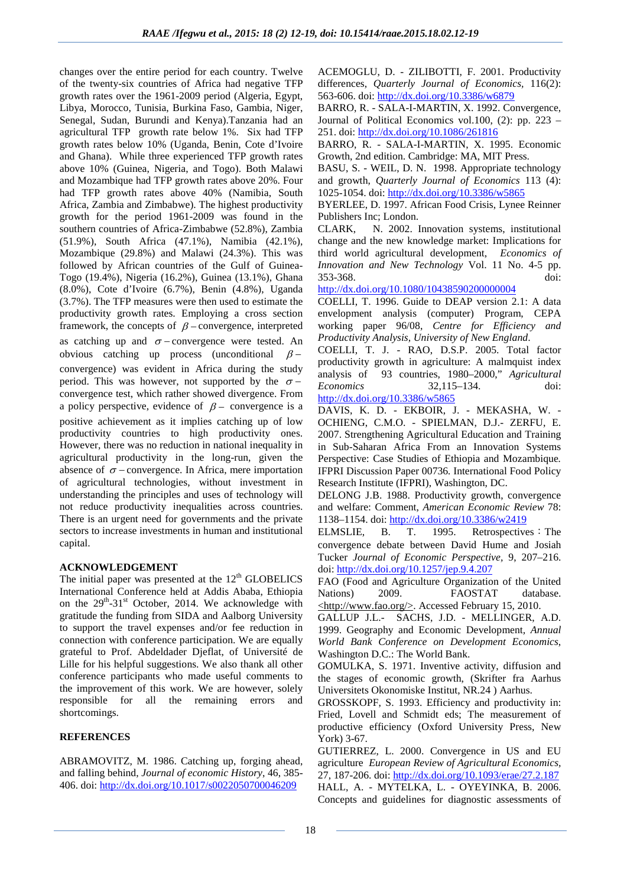changes over the entire period for each country. Twelve of the twenty-six countries of Africa had negative TFP growth rates over the 1961-2009 period (Algeria, Egypt, Libya, Morocco, Tunisia, Burkina Faso, Gambia, Niger, Senegal, Sudan, Burundi and Kenya).Tanzania had an agricultural TFP growth rate below 1%. Six had TFP growth rates below 10% (Uganda, Benin, Cote d'Ivoire and Ghana). While three experienced TFP growth rates above 10% (Guinea, Nigeria, and Togo). Both Malawi and Mozambique had TFP growth rates above 20%. Four had TFP growth rates above 40% (Namibia, South Africa, Zambia and Zimbabwe). The highest productivity growth for the period 1961-2009 was found in the southern countries of Africa-Zimbabwe (52.8%), Zambia (51.9%), South Africa (47.1%), Namibia (42.1%), Mozambique (29.8%) and Malawi (24.3%). This was followed by African countries of the Gulf of Guinea-Togo (19.4%), Nigeria (16.2%), Guinea (13.1%), Ghana (8.0%), Cote d'Ivoire (6.7%), Benin (4.8%), Uganda (3.7%). The TFP measures were then used to estimate the productivity growth rates. Employing a cross section framework, the concepts of  $\beta$  – convergence, interpreted as catching up and  $\sigma$  − convergence were tested. An obvious catching up process (unconditional  $\beta$  – convergence) was evident in Africa during the study period. This was however, not supported by the  $\sigma$  − convergence test, which rather showed divergence. From a policy perspective, evidence of  $\beta$  – convergence is a positive achievement as it implies catching up of low productivity countries to high productivity ones. However, there was no reduction in national inequality in agricultural productivity in the long-run, given the absence of  $\sigma$  – convergence. In Africa, mere importation of agricultural technologies, without investment in understanding the principles and uses of technology will not reduce productivity inequalities across countries. There is an urgent need for governments and the private sectors to increase investments in human and institutional capital.

# **ACKNOWLEDGEMENT**

The initial paper was presented at the  $12<sup>th</sup>$  GLOBELICS International Conference held at Addis Ababa, Ethiopia on the 29<sup>th</sup>-31<sup>st</sup> October, 2014. We acknowledge with gratitude the funding from SIDA and Aalborg University to support the travel expenses and/or fee reduction in connection with conference participation. We are equally grateful to Prof. Abdeldader Djeflat, of Université de Lille for his helpful suggestions. We also thank all other conference participants who made useful comments to the improvement of this work. We are however, solely responsible for all the remaining errors and shortcomings.

# **REFERENCES**

ABRAMOVITZ, M. 1986. Catching up, forging ahead, and falling behind, *Journal of economic History*, 46, 385- 406. doi:<http://dx.doi.org/10.1017/s0022050700046209>

ACEMOGLU, D. - ZILIBOTTI, F. 2001. Productivity differences, *Quarterly Journal of Economics,* 116(2): 563-606. doi:<http://dx.doi.org/10.3386/w6879>

BARRO, R. - SALA-I-MARTIN, X. 1992. Convergence, Journal of Political Economics vol.100, (2): pp. 223 – 251. doi:<http://dx.doi.org/10.1086/261816>

BARRO, R. - SALA-I-MARTIN, X. 1995. Economic Growth, 2nd edition. Cambridge: MA, MIT Press.

BASU, S. - WEIL, D. N. 1998. Appropriate technology and growth, *Quarterly Journal of Economics* 113 (4): 1025-1054. doi:<http://dx.doi.org/10.3386/w5865>

BYERLEE, D. 1997. African Food Crisis, Lynee Reinner Publishers Inc; London.

CLARK, N. 2002. Innovation systems, institutional change and the new knowledge market: Implications for third world agricultural development, *Economics of Innovation and New Technology* Vol. 11 No. 4-5 pp. 353-368. doi:

<http://dx.doi.org/10.1080/10438590200000004>

COELLI, T. 1996. Guide to DEAP version 2.1: A data envelopment analysis (computer) Program, CEPA working paper 96/08, *Centre for Efficiency and Productivity Analysis, University of New England*.

COELLI, T. J. - RAO, D.S.P. 2005. Total factor productivity growth in agriculture: A malmquist index analysis of 93 countries, 1980–2000," *Agricultural Economics* 32,115–134. doi: <http://dx.doi.org/10.3386/w5865>

DAVIS, K. D. - EKBOIR, J. - MEKASHA, W. - OCHIENG, C.M.O. - SPIELMAN, D.J.- ZERFU, E. 2007. Strengthening Agricultural Education and Training in Sub-Saharan Africa From an Innovation Systems Perspective: Case Studies of Ethiopia and Mozambique*.*  IFPRI Discussion Paper 00736*.* International Food Policy Research Institute (IFPRI), Washington, DC.

DELONG J.B. 1988. Productivity growth, convergence and welfare: Comment, *American Economic Review* 78: 1138–1154. doi:<http://dx.doi.org/10.3386/w2419>

ELMSLIE, B. T. 1995. Retrospectives: The convergence debate between David Hume and Josiah Tucker *Journal of Economic Perspective,* 9, 207*–*216. doi:<http://dx.doi.org/10.1257/jep.9.4.207>

FAO (Food and Agriculture Organization of the United Nations) 2009. FAOSTAT database. <http://www.fao.org/>. Accessed February 15, 2010.

GALLUP J.L.- SACHS, J.D. - MELLINGER, A.D. 1999. Geography and Economic Development*, Annual World Bank Conference on Development Economics*, Washington D.C.: The World Bank.

GOMULKA, S. 1971. Inventive activity, diffusion and the stages of economic growth, (Skrifter fra Aarhus Universitets Okonomiske Institut, NR.24 ) Aarhus.

GROSSKOPF, S. 1993. Efficiency and productivity in: Fried, Lovell and Schmidt eds; The measurement of productive efficiency (Oxford University Press, New York) 3-67.

GUTIERREZ, L. 2000. Convergence in US and EU agriculture *European Review of Agricultural Economics,*  27, 187-206. doi:<http://dx.doi.org/10.1093/erae/27.2.187> HALL, A. - MYTELKA, L. - OYEYINKA, B. 2006. Concepts and guidelines for diagnostic assessments of